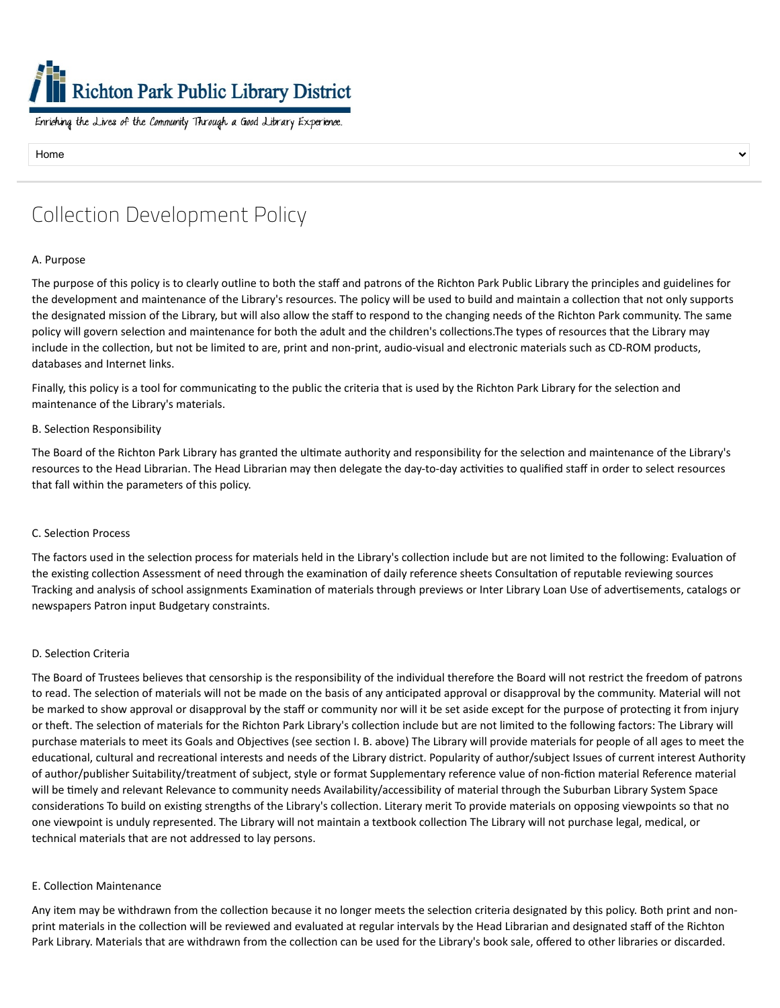# **Richton Park Public Library District**

Enriching the Lives of the Community Through a Good Library Experience.

Home

# Collection Development Policy

### A. Purpose

The purpose of this policy is to clearly outline to both the staff and patrons of the Richton Park Public Library the principles and guidelines for the development and maintenance of the Library's resources. The policy will be used to build and maintain a collection that not only supports the designated mission of the Library, but will also allow the staff to respond to the changing needs of the Richton Park community. The same policy will govern selection and maintenance for both the adult and the children's collections.The types of resources that the Library may include in the collection, but not be limited to are, print and non-print, audio-visual and electronic materials such as CD-ROM products, databases and Internet links.

Finally, this policy is a tool for communicating to the public the criteria that is used by the Richton Park Library for the selection and maintenance of the Library's materials.

### B. Selection Responsibility

The Board of the Richton Park Library has granted the ultimate authority and responsibility for the selection and maintenance of the Library's resources to the Head Librarian. The Head Librarian may then delegate the day-to-day activities to qualified staff in order to select resources that fall within the parameters of this policy.

### C. Selection Process

The factors used in the selection process for materials held in the Library's collection include but are not limited to the following: Evaluation of the existing collection Assessment of need through the examination of daily reference sheets Consultation of reputable reviewing sources Tracking and analysis of school assignments Examination of materials through previews or Inter Library Loan Use of advertisements, catalogs or newspapers Patron input Budgetary constraints.

### D. Selection Criteria

The Board of Trustees believes that censorship is the responsibility of the individual therefore the Board will not restrict the freedom of patrons to read. The selection of materials will not be made on the basis of any anticipated approval or disapproval by the community. Material will not be marked to show approval or disapproval by the staff or community nor will it be set aside except for the purpose of protecting it from injury or theft. The selection of materials for the Richton Park Library's collection include but are not limited to the following factors: The Library will purchase materials to meet its Goals and Objectives (see section I. B. above) The Library will provide materials for people of all ages to meet the educational, cultural and recreational interests and needs of the Library district. Popularity of author/subject Issues of current interest Authority of author/publisher Suitability/treatment of subject, style or format Supplementary reference value of non-fiction material Reference material will be timely and relevant Relevance to community needs Availability/accessibility of material through the Suburban Library System Space considerations To build on existing strengths of the Library's collection. Literary merit To provide materials on opposing viewpoints so that no one viewpoint is unduly represented. The Library will not maintain a textbook collection The Library will not purchase legal, medical, or technical materials that are not addressed to lay persons.

### E. Collection Maintenance

Any item may be withdrawn from the collection because it no longer meets the selection criteria designated by this policy. Both print and nonprint materials in the collection will be reviewed and evaluated at regular intervals by the Head Librarian and designated staff of the Richton Park Library. Materials that are withdrawn from the collection can be used for the Library's book sale, offered to other libraries or discarded.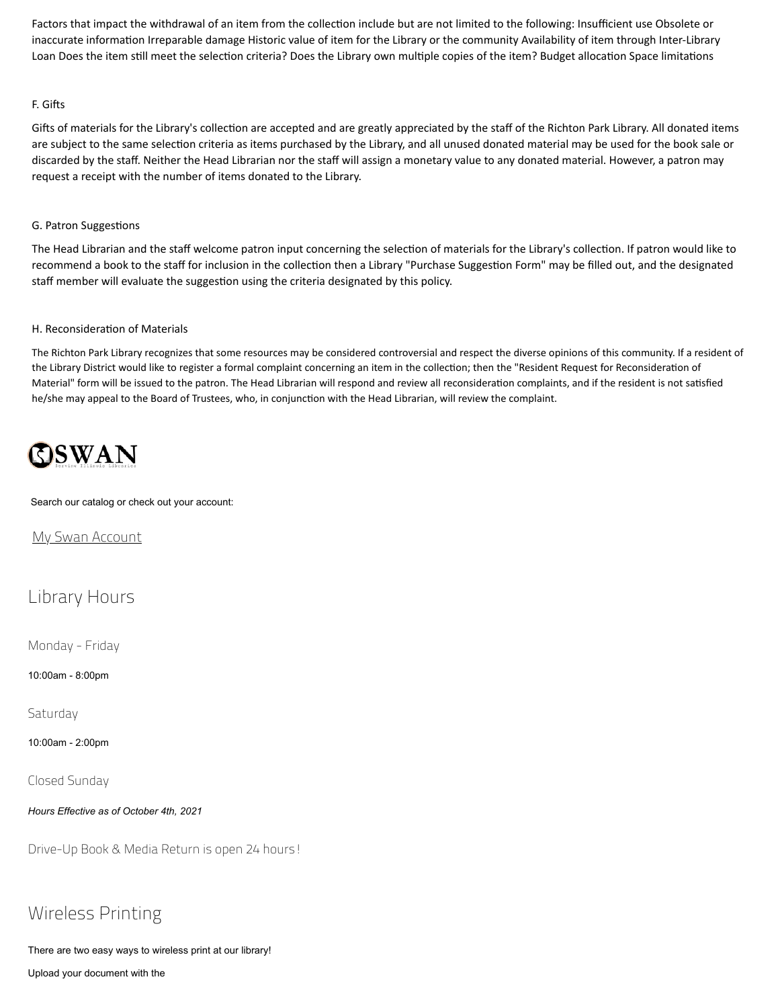Factors that impact the withdrawal of an item from the collection include but are not limited to the following: Insufficient use Obsolete or inaccurate information Irreparable damage Historic value of item for the Library or the community Availability of item through Inter-Library Loan Does the item still meet the selection criteria? Does the Library own multiple copies of the item? Budget allocation Space limitations

### F. Gifts

Gifts of materials for the Library's collection are accepted and are greatly appreciated by the staff of the Richton Park Library. All donated items are subject to the same selection criteria as items purchased by the Library, and all unused donated material may be used for the book sale or discarded by the staff. Neither the Head Librarian nor the staff will assign a monetary value to any donated material. However, a patron may request a receipt with the number of items donated to the Library.

### G. Patron Suggestions

The Head Librarian and the staff welcome patron input concerning the selection of materials for the Library's collection. If patron would like to recommend a book to the staff for inclusion in the collection then a Library "Purchase Suggestion Form" may be filled out, and the designated staff member will evaluate the suggestion using the criteria designated by this policy.

### H. Reconsideration of Materials

The Richton Park Library recognizes that some resources may be considered controversial and respect the diverse opinions of this community. If a resident of the Library District would like to register a formal complaint concerning an item in the collection; then the "Resident Request for Reconsideration of Material" form will be issued to the patron. The Head Librarian will respond and review all reconsideration complaints, and if the resident is not satisfied he/she may appeal to the Board of Trustees, who, in conjunction with the Head Librarian, will review the complaint.

# **OSWAN**

### Search our catalog or check out your account:

My Swan [Account](https://swanlibs.ent.sirsi.net/client/en_US/rps/search/account)

### Library Hours

Monday - Friday

10:00am - 8:00pm

Saturday

10:00am - 2:00pm

Closed Sunday

*Hours Effective as of October 4th, 2021*

Drive-Up Book & Media Return is open 24 hours!

## Wireless Printing

There are two easy ways to wireless print at our library!

Upload your document with the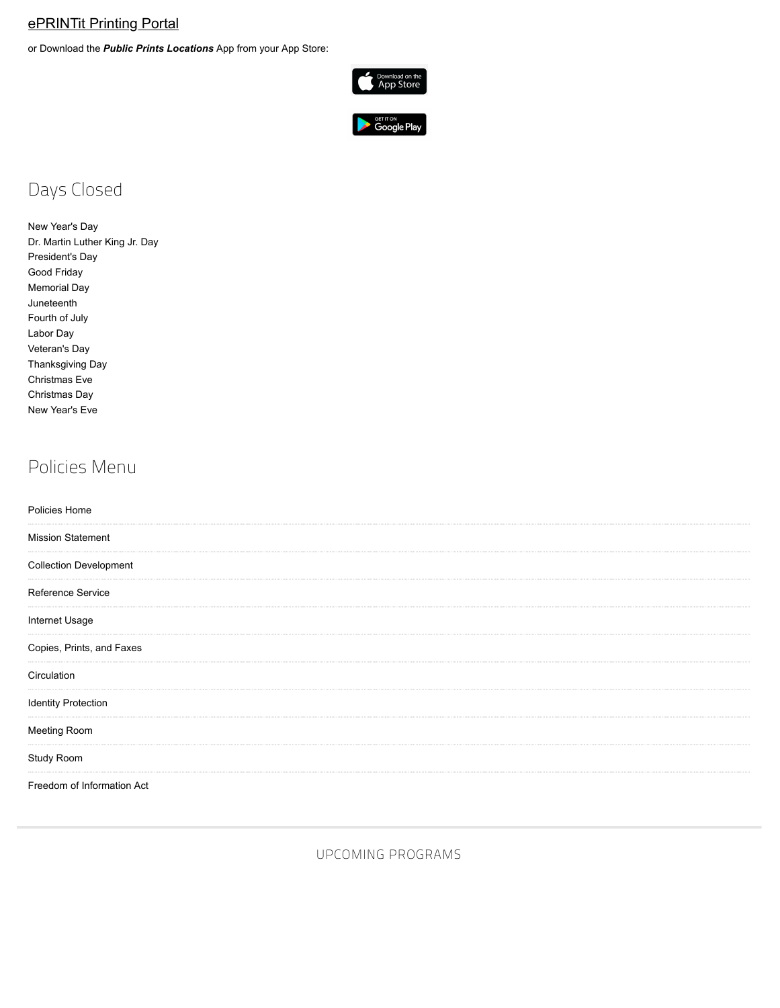### [ePRINTit](https://tbs.eprintit.com/portal/#/ppl/upload/RPPL) Printing Portal

or Download the *Public Prints Locations* App from your App Store:





# Days Closed

New Year's Day Dr. Martin Luther King Jr. Day President's Day Good Friday Memorial Day Juneteenth Fourth of July Labor Day Veteran's Day Thanksgiving Day Christmas Eve Christmas Day New Year's Eve

## Policies Menu

| Policies Home                 |  |  |
|-------------------------------|--|--|
| <b>Mission Statement</b>      |  |  |
| <b>Collection Development</b> |  |  |
| Reference Service             |  |  |
| Internet Usage                |  |  |
| Copies, Prints, and Faxes     |  |  |
| Circulation                   |  |  |
| <b>Identity Protection</b>    |  |  |
| Meeting Room                  |  |  |
| Study Room                    |  |  |
| Freedom of Information Act    |  |  |

UPCOMING PROGRAMS